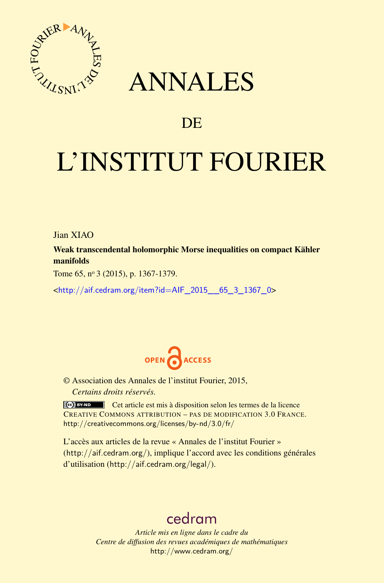

## ANNALES

### **DE**

# L'INSTITUT FOURIER

Jian XIAO

Weak transcendental holomorphic Morse inequalities on compact Kähler manifolds

Tome 65, nº 3 (2015), p. 1367-1379.

<[http://aif.cedram.org/item?id=AIF\\_2015\\_\\_65\\_3\\_1367\\_0](http://aif.cedram.org/item?id=AIF_2015__65_3_1367_0)>



© Association des Annales de l'institut Fourier, 2015, *Certains droits réservés.*

Cet article est mis à disposition selon les termes de la licence CREATIVE COMMONS ATTRIBUTION – PAS DE MODIFICATION 3.0 FRANCE. <http://creativecommons.org/licenses/by-nd/3.0/fr/>

L'accès aux articles de la revue « Annales de l'institut Fourier » (<http://aif.cedram.org/>), implique l'accord avec les conditions générales d'utilisation (<http://aif.cedram.org/legal/>).

## [cedram](http://www.cedram.org/)

*Article mis en ligne dans le cadre du Centre de diffusion des revues académiques de mathématiques* <http://www.cedram.org/>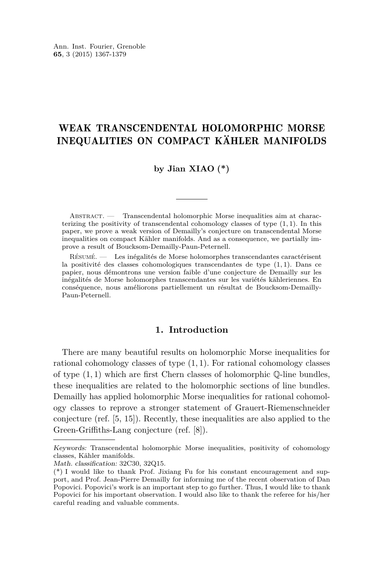#### WEAK TRANSCENDENTAL HOLOMORPHIC MORSE INEQUALITIES ON COMPACT KÄHLER MANIFOLDS

#### **by Jian XIAO (\*)**

ABSTRACT. — Transcendental holomorphic Morse inequalities aim at characterizing the positivity of transcendental cohomology classes of type (1*,* 1). In this paper, we prove a weak version of Demailly's conjecture on transcendental Morse inequalities on compact Kähler manifolds. And as a consequence, we partially improve a result of Boucksom-Demailly-Paun-Peternell.

Résumé. — Les inégalités de Morse holomorphes transcendantes caractérisent la positivité des classes cohomologiques transcendantes de type (1*,* 1). Dans ce papier, nous démontrons une version faible d'une conjecture de Demailly sur les inégalités de Morse holomorphes transcendantes sur les variétés kähleriennes. En conséquence, nous améliorons partiellement un résultat de Boucksom-Demailly-Paun-Peternell.

#### **1. Introduction**

There are many beautiful results on holomorphic Morse inequalities for rational cohomology classes of type (1*,* 1). For rational cohomology classes of type (1*,* 1) which are first Chern classes of holomorphic Q-line bundles, these inequalities are related to the holomorphic sections of line bundles. Demailly has applied holomorphic Morse inequalities for rational cohomology classes to reprove a stronger statement of Grauert-Riemenschneider conjecture (ref. [\[5,](#page-13-0) [15\]](#page-13-0)). Recently, these inequalities are also applied to the Green-Griffiths-Lang conjecture (ref. [\[8\]](#page-13-0)).

Keywords: Transcendental holomorphic Morse inequalities, positivity of cohomology classes, Kähler manifolds.

Math. classification: 32C30, 32Q15.

<sup>(\*)</sup> I would like to thank Prof. Jixiang Fu for his constant encouragement and support, and Prof. Jean-Pierre Demailly for informing me of the recent observation of Dan Popovici. Popovici's work is an important step to go further. Thus, I would like to thank Popovici for his important observation. I would also like to thank the referee for his/her careful reading and valuable comments.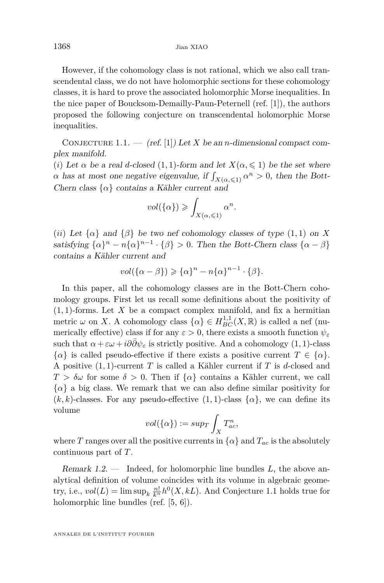However, if the cohomology class is not rational, which we also call transcendental class, we do not have holomorphic sections for these cohomology classes, it is hard to prove the associated holomorphic Morse inequalities. In the nice paper of Boucksom-Demailly-Paun-Peternell (ref. [\[1\]](#page-13-0)), the authors proposed the following conjecture on transcendental holomorphic Morse inequalities.

CONJECTURE 1.1. — (ref. [\[1\]](#page-13-0)) Let *X* be an *n*-dimensional compact complex manifold.

(*i*) Let  $\alpha$  be a real *d*-closed (1, 1)-form and let  $X(\alpha, \leq 1)$  be the set where *α* has at most one negative eigenvalue, if  $\int_{X(\alpha,\leq 1)} \alpha^n > 0$ , then the Bott-Chern class  $\{\alpha\}$  contains a Kähler current and

$$
vol(\{\alpha\}) \geqslant \int_{X(\alpha,\leqslant 1)} \alpha^n.
$$

(*ii*) Let  $\{\alpha\}$  and  $\{\beta\}$  be two nef cohomology classes of type  $(1, 1)$  on X satisfying  $\{\alpha\}^n - n\{\alpha\}^{n-1} \cdot \{\beta\} > 0$ . Then the Bott-Chern class  $\{\alpha - \beta\}$ contains a Kähler current and

$$
vol({\{\alpha - \beta\}}) \geq {\{\alpha\}}^n - n{\{\alpha\}}^{n-1} \cdot {\{\beta\}}.
$$

In this paper, all the cohomology classes are in the Bott-Chern cohomology groups. First let us recall some definitions about the positivity of  $(1,1)$ -forms. Let X be a compact complex manifold, and fix a hermitian metric  $\omega$  on *X*. A cohomology class  $\{\alpha\} \in H^{1,1}_{BC}(X,\mathbb{R})$  is called a nef (numerically effective) class if for any  $\varepsilon > 0$ , there exists a smooth function  $\psi_{\varepsilon}$ such that  $\alpha + \varepsilon \omega + i\partial \bar{\partial} \psi_{\varepsilon}$  is strictly positive. And a cohomology (1, 1)-class  $\{\alpha\}$  is called pseudo-effective if there exists a positive current  $T \in \{\alpha\}.$ A positive (1*,* 1)-current *T* is called a Kähler current if *T* is *d*-closed and *T > δω* for some *δ >* 0. Then if {*α*} contains a Kähler current, we call  $\{\alpha\}$  a big class. We remark that we can also define similar positivity for  $(k, k)$ -classes. For any pseudo-effective  $(1, 1)$ -class  $\{\alpha\}$ , we can define its volume

$$
vol(\{\alpha\}):=sup_T \int_X T^n_{ac},
$$

where *T* ranges over all the positive currents in  $\{\alpha\}$  and  $T_{ac}$  is the absolutely continuous part of *T*.

Remark 1.2. — Indeed, for holomorphic line bundles *L*, the above analytical definition of volume coincides with its volume in algebraic geometry, i.e.,  $vol(L) = \limsup_k \frac{n!}{k^n} h^0(X, kL)$ . And Conjecture 1.1 holds true for holomorphic line bundles (ref. [\[5,](#page-13-0) [6\]](#page-13-0)).

<span id="page-2-0"></span>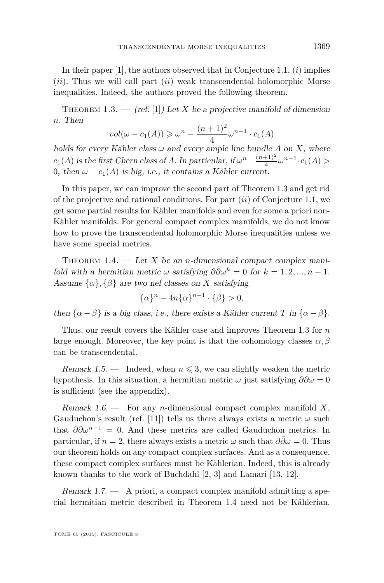<span id="page-3-0"></span>In their paper [\[1\]](#page-13-0), the authors observed that in Conjecture [1.1,](#page-2-0) (*i*) implies (*ii*). Thus we will call part (*ii*) weak transcendental holomorphic Morse inequalities. Indeed, the authors proved the following theorem.

THEOREM 1.3.  $-$  (ref. [\[1\]](#page-13-0)) Let *X* be a projective manifold of dimension *n*. Then

$$
vol(\omega - c_1(A)) \ge \omega^n - \frac{(n+1)^2}{4} \omega^{n-1} \cdot c_1(A)
$$

holds for every Kähler class  $\omega$  and every ample line bundle A on X, where  $c_1(A)$  is the first Chern class of *A*. In particular, if  $\omega^n - \frac{(n+1)^2}{4}$  $\frac{(n+1)^2}{4} \omega^{n-1} \cdot c_1(A) >$ 0, then  $\omega - c_1(A)$  is big, i.e., it contains a Kähler current.

In this paper, we can improve the second part of Theorem 1.3 and get rid of the projective and rational conditions. For part (*ii*) of Conjecture [1.1,](#page-2-0) we get some partial results for Kähler manifolds and even for some a priori non-Kähler manifolds. For general compact complex manifolds, we do not know how to prove the transcendental holomorphic Morse inequalities unless we have some special metrics.

THEOREM 1.4.  $\qquad$  Let *X* be an *n*-dimensional compact complex manifold with a hermitian metric  $\omega$  satisfying  $\partial \bar{\partial} \omega^k = 0$  for  $k = 1, 2, ..., n - 1$ . Assume  $\{\alpha\}$ ,  $\{\beta\}$  are two nef classes on *X* satisfying

$$
\{\alpha\}^n - 4n\{\alpha\}^{n-1} \cdot \{\beta\} > 0,
$$

then  $\{\alpha - \beta\}$  is a big class, i.e., there exists a Kähler current *T* in  $\{\alpha - \beta\}$ .

Thus, our result covers the Kähler case and improves Theorem 1.3 for *n* large enough. Moreover, the key point is that the cohomology classes  $\alpha, \beta$ can be transcendental.

Remark 1.5. — Indeed, when  $n \leq 3$ , we can slightly weaken the metric hypothesis. In this situation, a hermitian metric  $\omega$  just satisfying  $\partial \bar{\partial} \omega = 0$ is sufficient (see the appendix).

Remark 1.6. — For any *n*-dimensional compact complex manifold *X*, Gauduchon's result (ref. [\[11\]](#page-13-0)) tells us there always exists a metric  $\omega$  such that  $\partial \bar{\partial} \omega^{n-1} = 0$ . And these metrics are called Gauduchon metrics. In particular, if *n* = 2, there always exists a metric  $\omega$  such that  $\partial \overline{\partial} \omega = 0$ . Thus our theorem holds on any compact complex surfaces. And as a consequence, these compact complex surfaces must be Kählerian. Indeed, this is already known thanks to the work of Buchdahl [\[2,](#page-13-0) [3\]](#page-13-0) and Lamari [\[13,](#page-13-0) [12\]](#page-13-0).

Remark  $1.7.$  — A priori, a compact complex manifold admitting a special hermitian metric described in Theorem 1.4 need not be Kählerian.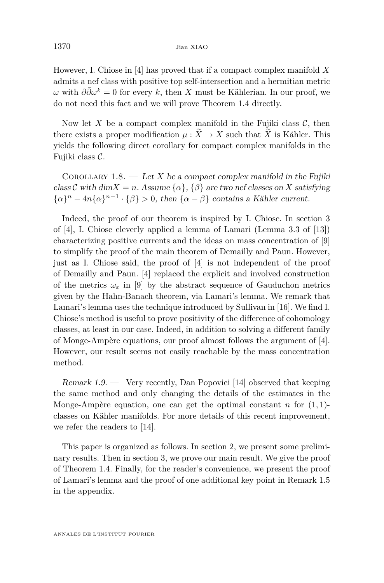<span id="page-4-0"></span>However, I. Chiose in [\[4\]](#page-13-0) has proved that if a compact complex manifold *X* admits a nef class with positive top self-intersection and a hermitian metric *ω* with  $\partial \bar{\partial} ω^k = 0$  for every *k*, then *X* must be Kählerian. In our proof, we do not need this fact and we will prove Theorem [1.4](#page-3-0) directly.

Now let X be a compact complex manifold in the Fujiki class  $C$ , then there exists a proper modification  $\mu : \widetilde{X} \to X$  such that  $\widetilde{X}$  is Kähler. This yields the following direct corollary for compact complex manifolds in the Fujiki class C.

COROLLARY 1.8.  $\longrightarrow$  Let X be a compact complex manifold in the Fujiki class C with dim $X = n$ . Assume  $\{\alpha\}$ ,  $\{\beta\}$  are two nef classes on X satisfying  ${\alpha}^n - 4n{\alpha}^{n-1} \cdot {\beta} > 0$ , then  ${\alpha - \beta}$  contains a Kähler current.

Indeed, the proof of our theorem is inspired by I. Chiose. In section 3 of [\[4\]](#page-13-0), I. Chiose cleverly applied a lemma of Lamari (Lemma 3.3 of [\[13\]](#page-13-0)) characterizing positive currents and the ideas on mass concentration of [\[9\]](#page-13-0) to simplify the proof of the main theorem of Demailly and Paun. However, just as I. Chiose said, the proof of [\[4\]](#page-13-0) is not independent of the proof of Demailly and Paun. [\[4\]](#page-13-0) replaced the explicit and involved construction of the metrics  $\omega_{\varepsilon}$  in [\[9\]](#page-13-0) by the abstract sequence of Gauduchon metrics given by the Hahn-Banach theorem, via Lamari's lemma. We remark that Lamari's lemma uses the technique introduced by Sullivan in [\[16\]](#page-13-0). We find I. Chiose's method is useful to prove positivity of the difference of cohomology classes, at least in our case. Indeed, in addition to solving a different family of Monge-Ampère equations, our proof almost follows the argument of [\[4\]](#page-13-0). However, our result seems not easily reachable by the mass concentration method.

Remark  $1.9.$  — Very recently, Dan Popovici [\[14\]](#page-13-0) observed that keeping the same method and only changing the details of the estimates in the Monge-Ampère equation, one can get the optimal constant  $n$  for  $(1, 1)$ classes on Kähler manifolds. For more details of this recent improvement, we refer the readers to [\[14\]](#page-13-0).

This paper is organized as follows. In section 2, we present some preliminary results. Then in section 3, we prove our main result. We give the proof of Theorem [1.4.](#page-3-0) Finally, for the reader's convenience, we present the proof of Lamari's lemma and the proof of one additional key point in Remark [1.5](#page-3-0) in the appendix.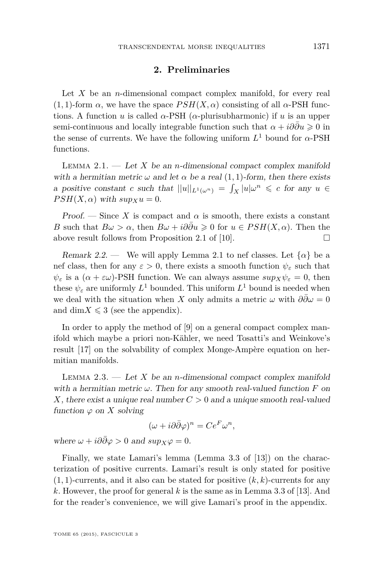#### **2. Preliminaries**

<span id="page-5-0"></span>Let *X* be an *n*-dimensional compact complex manifold, for every real  $(1,1)$ -form  $\alpha$ , we have the space  $PSH(X,\alpha)$  consisting of all  $\alpha$ -PSH functions. A function *u* is called  $\alpha$ -PSH ( $\alpha$ -plurisubharmonic) if *u* is an upper semi-continuous and locally integrable function such that  $\alpha + i\partial\bar{\partial}u \geq 0$  in the sense of currents. We have the following uniform  $L^1$  bound for  $\alpha$ -PSH functions.

LEMMA 2.1.  $\qquad$  Let *X* be an *n*-dimensional compact complex manifold with a hermitian metric  $\omega$  and let  $\alpha$  be a real (1, 1)-form, then there exists a positive constant *c* such that  $||u||_{L^1(\omega^n)} = \int_X |u| \omega^n \leq c$  for any  $u \in$  $PSH(X, \alpha)$  with  $sup_X u = 0$ .

Proof. — Since X is compact and  $\alpha$  is smooth, there exists a constant *B* such that  $B\omega > \alpha$ , then  $B\omega + i\partial\bar{\partial}u \geq 0$  for  $u \in PSH(X, \alpha)$ . Then the above result follows from Proposition 2.1 of [\[10\]](#page-13-0).  $\Box$ 

Remark 2.2. — We will apply Lemma 2.1 to nef classes. Let  $\{\alpha\}$  be a nef class, then for any  $\varepsilon > 0$ , there exists a smooth function  $\psi_{\varepsilon}$  such that  $\psi_{\varepsilon}$  is a  $(\alpha + \varepsilon \omega)$ -PSH function. We can always assume  $sup_X \psi_{\varepsilon} = 0$ , then these  $\psi_{\varepsilon}$  are uniformly  $L^1$  bounded. This uniform  $L^1$  bound is needed when we deal with the situation when *X* only admits a metric  $\omega$  with  $\partial \partial \omega = 0$ and dim $X \leqslant 3$  (see the appendix).

In order to apply the method of [\[9\]](#page-13-0) on a general compact complex manifold which maybe a priori non-Kähler, we need Tosatti's and Weinkove's result [\[17\]](#page-13-0) on the solvability of complex Monge-Ampère equation on hermitian manifolds.

LEMMA 2.3.  $\qquad$  Let *X* be an *n*-dimensional compact complex manifold with a hermitian metric *ω*. Then for any smooth real-valued function *F* on *X*, there exist a unique real number *C >* 0 and a unique smooth real-valued function  $\varphi$  on *X* solving

$$
(\omega + i\partial\bar{\partial}\varphi)^n = Ce^F \omega^n,
$$

where  $\omega + i\partial\bar{\partial}\varphi > 0$  and  $\sup_{X}\varphi = 0$ .

Finally, we state Lamari's lemma (Lemma 3.3 of [\[13\]](#page-13-0)) on the characterization of positive currents. Lamari's result is only stated for positive  $(1,1)$ -currents, and it also can be stated for positive  $(k, k)$ -currents for any *k*. However, the proof for general *k* is the same as in Lemma 3.3 of [\[13\]](#page-13-0). And for the reader's convenience, we will give Lamari's proof in the appendix.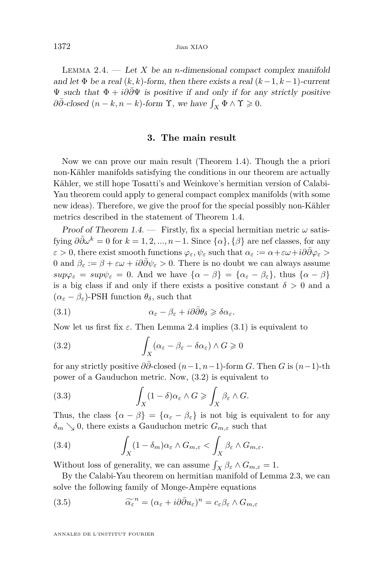<span id="page-6-0"></span>1372 Jian XIAO

LEMMA 2.4.  $\qquad$  Let *X* be an *n*-dimensional compact complex manifold and let  $\Phi$  be a real  $(k, k)$ -form, then there exists a real  $(k-1, k-1)$ -current  $\Psi$  such that  $\Phi + i\partial \bar{\partial} \Psi$  is positive if and only if for any strictly positive  $\partial \bar{\partial}$ -closed  $(n - k, n - k)$ -form  $\Upsilon$ , we have  $\int_X \Phi \wedge \Upsilon \geq 0$ .

#### **3. The main result**

Now we can prove our main result (Theorem [1.4\)](#page-3-0). Though the a priori non-Kähler manifolds satisfying the conditions in our theorem are actually Kähler, we still hope Tosatti's and Weinkove's hermitian version of Calabi-Yau theorem could apply to general compact complex manifolds (with some new ideas). Therefore, we give the proof for the special possibly non-Kähler metrics described in the statement of Theorem [1.4.](#page-3-0)

Proof of Theorem [1.4.](#page-3-0) — Firstly, fix a special hermitian metric  $\omega$  satisfying  $\partial \bar{\partial} \omega^k = 0$  for  $k = 1, 2, ..., n-1$ . Since  $\{\alpha\}, \{\beta\}$  are nef classes, for any  $\varepsilon > 0$ , there exist smooth functions  $\varphi_{\varepsilon}, \psi_{\varepsilon}$  such that  $\alpha_{\varepsilon} := \alpha + \varepsilon \omega + i\partial \bar{\partial} \varphi_{\varepsilon} >$ 0 and  $\beta_{\varepsilon} := \beta + \varepsilon \omega + i \partial \bar{\partial} \psi_{\varepsilon} > 0$ . There is no doubt we can always assume  $sup\varphi_{\varepsilon} = sup\psi_{\varepsilon} = 0$ . And we have  $\{\alpha - \beta\} = \{\alpha_{\varepsilon} - \beta_{\varepsilon}\}\$ , thus  $\{\alpha - \beta\}$ is a big class if and only if there exists a positive constant  $\delta > 0$  and a  $(\alpha_{\varepsilon} - \beta_{\varepsilon})$ -PSH function  $\theta_{\delta}$ , such that

(3.1) 
$$
\alpha_{\varepsilon} - \beta_{\varepsilon} + i\partial\bar{\partial}\theta_{\delta} \geq \delta\alpha_{\varepsilon}.
$$

Now let us first fix  $\varepsilon$ . Then Lemma 2.4 implies (3.1) is equivalent to

(3.2) 
$$
\int_X (\alpha_{\varepsilon} - \beta_{\varepsilon} - \delta \alpha_{\varepsilon}) \wedge G \geqslant 0
$$

for any strictly positive  $\partial \partial$ -closed  $(n-1, n-1)$ -form *G*. Then *G* is  $(n-1)$ -th power of a Gauduchon metric. Now, (3.2) is equivalent to

(3.3) 
$$
\int_X (1-\delta)\alpha_{\varepsilon} \wedge G \ge \int_X \beta_{\varepsilon} \wedge G.
$$

Thus, the class  $\{\alpha - \beta\} = \{\alpha_{\varepsilon} - \beta_{\varepsilon}\}\$ is not big is equivalent to for any  $\delta_m$   $\searrow$  0, there exists a Gauduchon metric  $G_{m,\varepsilon}$  such that

(3.4) 
$$
\int_X (1 - \delta_m) \alpha_\varepsilon \wedge G_{m,\varepsilon} < \int_X \beta_\varepsilon \wedge G_{m,\varepsilon}.
$$

Without loss of generality, we can assume  $\int_X \beta_{\varepsilon} \wedge G_{m,\varepsilon} = 1$ .

By the Calabi-Yau theorem on hermitian manifold of Lemma [2.3,](#page-5-0) we can solve the following family of Monge-Ampère equations

(3.5) 
$$
\widetilde{\alpha}_{\varepsilon}^{n} = (\alpha_{\varepsilon} + i\partial\bar{\partial}u_{\varepsilon})^{n} = c_{\varepsilon}\beta_{\varepsilon} \wedge G_{m,\varepsilon}
$$

ANNALES DE L'INSTITUT FOURIER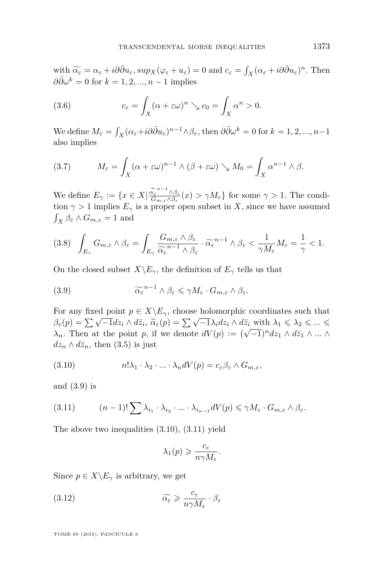<span id="page-7-0"></span>with  $\widetilde{\alpha_{\varepsilon}} = \alpha_{\varepsilon} + i\partial\bar{\partial}u_{\varepsilon}, \sup_{\mathcal{X}} (\varphi_{\varepsilon} + u_{\varepsilon}) = 0$  and  $c_{\varepsilon} = \int_{X} (\alpha_{\varepsilon} + i\partial\bar{\partial}u_{\varepsilon})^{n}$ . Then  $\partial \bar{\partial} \omega^k = 0$  for  $k = 1, 2, ..., n-1$  implies

(3.6) 
$$
c_{\varepsilon} = \int_X (\alpha + \varepsilon \omega)^n \searrow c_0 = \int_X \alpha^n > 0.
$$

We define  $M_{\varepsilon} = \int_X (\alpha_{\varepsilon} + i\partial \bar{\partial}u_{\varepsilon})^{n-1} \wedge \beta_{\varepsilon}$ , then  $\partial \bar{\partial}w^k = 0$  for  $k = 1, 2, ..., n-1$ also implies

(3.7) 
$$
M_{\varepsilon} = \int_X (\alpha + \varepsilon \omega)^{n-1} \wedge (\beta + \varepsilon \omega) \searrow M_0 = \int_X \alpha^{n-1} \wedge \beta.
$$

We define  $E_{\gamma} := \{x \in X | \frac{\alpha_{\varepsilon}^{n-1} \wedge \beta_{\varepsilon}}{G_{m,\varepsilon} \wedge \beta_{\varepsilon}}(x) > \gamma M_{\varepsilon} \}$  for some  $\gamma > 1$ . The condition  $\gamma > 1$  implies  $E_{\gamma}$  is a proper open subset in *X*, since we have assumed  $\int_X \beta_{\varepsilon} \wedge G_{m,\varepsilon} = 1$  and

$$
(3.8)\quad \int_{E_{\gamma}} G_{m,\varepsilon} \wedge \beta_{\varepsilon} = \int_{E_{\gamma}} \frac{G_{m,\varepsilon} \wedge \beta_{\varepsilon}}{\widetilde{\alpha_{\varepsilon}}^{n-1} \wedge \beta_{\varepsilon}} \cdot \widetilde{\alpha_{\varepsilon}}^{n-1} \wedge \beta_{\varepsilon} < \frac{1}{\gamma M_{\varepsilon}} M_{\varepsilon} = \frac{1}{\gamma} < 1.
$$

On the closed subset  $X\backslash E_\gamma$ , the definition of  $E_\gamma$  tells us that

(3.9) 
$$
\widetilde{\alpha_{\varepsilon}}^{n-1} \wedge \beta_{\varepsilon} \leq \gamma M_{\varepsilon} \cdot G_{m,\varepsilon} \wedge \beta_{\varepsilon}.
$$

For any fixed point  $p \in X \backslash E_{\gamma}$ , choose holomorphic coordinates such that *β*<sub>ε</sub>(*p*) =  $\sum \sqrt{-1} dz_i \wedge d\bar{z}_i$ ,  $\widetilde{\alpha}_{\varepsilon}(p) = \sum \sqrt{-1} \lambda_i dz_i \wedge d\bar{z}_i$  with  $\lambda_1 \leq \lambda_2 \leq ... \leq \lambda_n$ .  $\lambda_n$ . Then at the point *p*, if we denote  $dV(p) := (\sqrt{-1})^n dz_1 \wedge d\bar{z}_1 \wedge ... \wedge d\bar{z}_n$ .  $dz_n \wedge d\bar{z}_n$ , then [\(3.5\)](#page-6-0) is just

(3.10) 
$$
n! \lambda_1 \cdot \lambda_2 \cdot \ldots \cdot \lambda_n dV(p) = c_{\varepsilon} \beta_{\varepsilon} \wedge G_{m,\varepsilon},
$$

and (3.9) is

(3.11) 
$$
(n-1)!\sum \lambda_{i_1} \cdot \lambda_{i_2} \cdot ... \cdot \lambda_{i_{n-1}} dV(p) \leq \gamma M_{\varepsilon} \cdot G_{m,\varepsilon} \wedge \beta_{\varepsilon}.
$$

The above two inequalities (3.10), (3.11) yield

$$
\lambda_1(p) \geqslant \frac{c_{\varepsilon}}{n\gamma M_{\varepsilon}}.
$$

Since  $p \in X \backslash E_\gamma$  is arbitrary, we get

(3.12) 
$$
\widetilde{\alpha_{\varepsilon}} \geqslant \frac{c_{\varepsilon}}{n\gamma M_{\varepsilon}} \cdot \beta_{\varepsilon}
$$

TOME 65 (2015), FASCICULE 3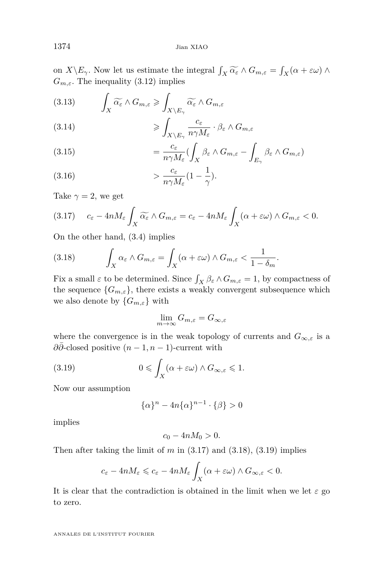on  $X \setminus E_\gamma$ . Now let us estimate the integral  $\int_X \widetilde{\alpha_{\varepsilon}} \wedge G_{m,\varepsilon} = \int_X (\alpha + \varepsilon \omega) \wedge$ <br>*C* The inequality (2.19) implies  $G_{m,\varepsilon}$ . The inequality [\(3.12\)](#page-7-0) implies

(3.13) 
$$
\int_X \widetilde{\alpha_{\varepsilon}} \wedge G_{m,\varepsilon} \geqslant \int_{X \setminus E_{\gamma}} \widetilde{\alpha_{\varepsilon}} \wedge G_{m,\varepsilon}
$$

(3.14) 
$$
\geqslant \int_{X \setminus E_{\gamma}} \frac{c_{\varepsilon}}{n \gamma M_{\varepsilon}} \cdot \beta_{\varepsilon} \wedge G_{m,\varepsilon}
$$

(3.15) 
$$
= \frac{c_{\varepsilon}}{n\gamma M_{\varepsilon}} \left(\int_X \beta_{\varepsilon} \wedge G_{m,\varepsilon} - \int_{E_{\gamma}} \beta_{\varepsilon} \wedge G_{m,\varepsilon}\right)
$$

(3.16) 
$$
\frac{c_{\varepsilon}}{n\gamma M_{\varepsilon}}(1-\frac{1}{\gamma}).
$$

Take  $\gamma = 2$ , we get

$$
(3.17) \t c_{\varepsilon} - 4n M_{\varepsilon} \int_X \widetilde{\alpha_{\varepsilon}} \wedge G_{m,\varepsilon} = c_{\varepsilon} - 4n M_{\varepsilon} \int_X (\alpha + \varepsilon \omega) \wedge G_{m,\varepsilon} < 0.
$$

On the other hand, [\(3.4\)](#page-6-0) implies

(3.18) 
$$
\int_X \alpha_{\varepsilon} \wedge G_{m,\varepsilon} = \int_X (\alpha + \varepsilon \omega) \wedge G_{m,\varepsilon} < \frac{1}{1 - \delta_m}.
$$

Fix a small  $\varepsilon$  to be determined. Since  $\int_X \beta_{\varepsilon} \wedge G_{m,\varepsilon} = 1$ , by compactness of the sequence  ${G_{m,\varepsilon}}$ , there exists a weakly convergent subsequence which we also denote by  $\{G_{m,\varepsilon}\}\)$  with

$$
\lim_{m \to \infty} G_{m,\varepsilon} = G_{\infty,\varepsilon}
$$

where the convergence is in the weak topology of currents and  $G_{\infty,\varepsilon}$  is a *∂∂*-closed positive  $(n-1, n-1)$ -current with

(3.19) 
$$
0 \leqslant \int_X (\alpha + \varepsilon \omega) \wedge G_{\infty, \varepsilon} \leqslant 1.
$$

Now our assumption

$$
\{\alpha\}^n - 4n\{\alpha\}^{n-1} \cdot \{\beta\} > 0
$$

implies

$$
c_0 - 4nM_0 > 0.
$$

Then after taking the limit of  $m$  in  $(3.17)$  and  $(3.18)$ ,  $(3.19)$  implies

$$
c_{\varepsilon} - 4n M_{\varepsilon} \leqslant c_{\varepsilon} - 4n M_{\varepsilon} \int_X (\alpha + \varepsilon \omega) \wedge G_{\infty, \varepsilon} < 0.
$$

It is clear that the contradiction is obtained in the limit when we let  $\varepsilon$  go to zero.

ANNALES DE L'INSTITUT FOURIER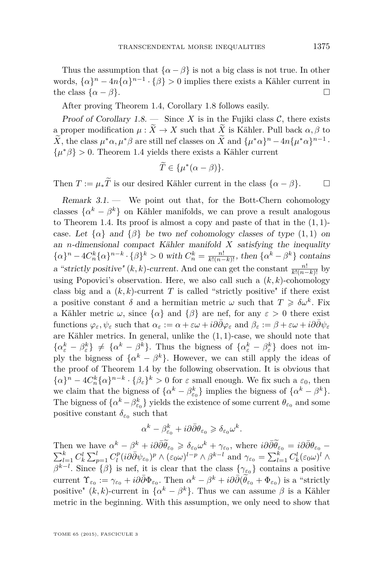Thus the assumption that  $\{\alpha - \beta\}$  is not a big class is not true. In other words,  $\{\alpha\}^{n} - 4n\{\alpha\}^{n-1} \cdot {\beta} > 0$  implies there exists a Kähler current in the class  $\{\alpha - \beta\}$ .

After proving Theorem [1.4,](#page-3-0) Corollary [1.8](#page-4-0) follows easily.

Proof of Corollary  $1.8$ . — Since *X* is in the Fujiki class *C*, there exists a proper modification  $\mu : \tilde{X} \to X$  such that  $\tilde{X}$  is Kähler. Pull back  $\alpha, \beta$  to  $\overline{X}$ , the class  $\mu^* \alpha, \mu^* \beta$  are still nef classes on  $\overline{X}$  and  $\{\mu^* \alpha\}^n - 4n\{\mu^* \alpha\}^{n-1}$ .  $\{\mu^*\beta\} > 0$ . Theorem [1.4](#page-3-0) yields there exists a Kähler current

$$
\widetilde{T} \in \{\mu^*(\alpha - \beta)\}.
$$

Then  $T := \mu_* \widetilde{T}$  is our desired Kähler current in the class  $\{\alpha - \beta\}$ .

Remark  $3.1.$  — We point out that, for the Bott-Chern cohomology classes  $\{\alpha^k - \beta^k\}$  on Kähler manifolds, we can prove a result analogous to Theorem [1.4.](#page-3-0) Its proof is almost a copy and paste of that in the (1*,* 1) case. Let  $\{\alpha\}$  and  $\{\beta\}$  be two nef cohomology classes of type  $(1, 1)$  on an *n*-dimensional compact Kähler manifold *X* satisfying the inequality  $\{\alpha\}^n - 4C_n^k {\{\alpha\}}^{n-k} \cdot {\{\beta\}}^k > 0$  with  $C_n^k = \frac{n!}{k!(n-k)!}$ , then  $\{\alpha^k - \beta^k\}$  contains a "strictly positive"  $(k, k)$ -current. And one can get the constant  $\frac{n!}{k!(n-k)!}$  by using Popovici's observation. Here, we also call such a  $(k, k)$ -cohomology class big and a  $(k, k)$ -current *T* is called "strictly positive" if there exist a positive constant  $\delta$  and a hermitian metric  $\omega$  such that  $T \geq \delta \omega^k$ . Fix a Kähler metric  $\omega$ , since  $\{\alpha\}$  and  $\{\beta\}$  are nef, for any  $\varepsilon > 0$  there exist  $\oint_{\mathcal{E}} \text{ function } \varphi_{\varepsilon}, \psi_{\varepsilon} \text{ such that } \alpha_{\varepsilon} := \alpha + \varepsilon \omega + i \partial \bar{\partial} \varphi_{\varepsilon} \text{ and } \beta_{\varepsilon} := \beta + \varepsilon \omega + i \partial \bar{\partial} \psi_{\varepsilon}$ are Kähler metrics. In general, unlike the (1*,* 1)-case, we should note that  $\{\alpha^k_{\varepsilon} - \beta^k_{\varepsilon}\}\neq \{\alpha^k - \beta^k\}.$  Thus the bigness of  $\{\alpha^k_{\varepsilon} - \beta^k_{\varepsilon}\}\)$  does not imply the bigness of  $\{\alpha^k - \beta^k\}$ . However, we can still apply the ideas of the proof of Theorem [1.4](#page-3-0) by the following observation. It is obvious that  ${\alpha}$ <sup>*n*</sup> − 4*C*<sup>*k*</sup></sup> ${\alpha}$ <sup>*n*−*k*</sub> · { $\beta$ <sub>*ε*</sub>}<sup>*k*</sup> > 0 for  $\varepsilon$  small enough. We fix such a  $\varepsilon$ <sub>0</sub>, then</sup> we claim that the bigness of  $\{\alpha^k - \beta^k_{\epsilon_0}\}\)$  implies the bigness of  $\{\alpha^k - \beta^k\}.$ The bigness of  $\{ \alpha^k - \beta^k_{\epsilon_0} \}$  yields the existence of some current  $\theta_{\epsilon_0}$  and some positive constant  $\delta_{\varepsilon_0}$  such that

$$
\alpha^k - \beta_{\varepsilon_0}^k + i\partial\bar\partial\theta_{\varepsilon_0} \geqslant \delta_{\varepsilon_0}\omega^k.
$$

Then we have  $\alpha^k - \beta^k + i\partial\bar{\partial}\tilde{\theta}_{\varepsilon_0} \geq \delta_{\varepsilon_0}\omega^k + \gamma_{\varepsilon_0}$ , where  $i\partial\bar{\partial}\tilde{\theta}_{\varepsilon_0} = i\partial\bar{\partial}\theta_{\varepsilon_0} \sum_{l=1}^{k} C_k^l \sum_{p=1}^{l} C_l^p (i \partial \bar{\partial} \psi_{\varepsilon_0})^p \wedge (\varepsilon_0 \omega)^{l-p} \wedge \beta^{k-l}$  and  $\gamma_{\varepsilon_0} = \sum_{l=1}^{k} C_k^l (\varepsilon_0 \omega)^l \wedge$ *β*<sup>*k*−*l*</sup>. Since {*β*} is nef, it is clear that the class { $γ_{ε0}$ } contains a positive current  $\Upsilon_{\varepsilon_0} := \gamma_{\varepsilon_0} + i\partial\bar{\partial}\Phi_{\varepsilon_0}$ . Then  $\alpha^k - \beta^k + i\partial\bar{\partial}(\tilde{\theta}_{\varepsilon_0} + \Phi_{\varepsilon_0})$  is a "strictly positive"  $(k, k)$ -current in  $\{\alpha^k - \beta^k\}$ . Thus we can assume  $\beta$  is a Kähler metric in the beginning. With this assumption, we only need to show that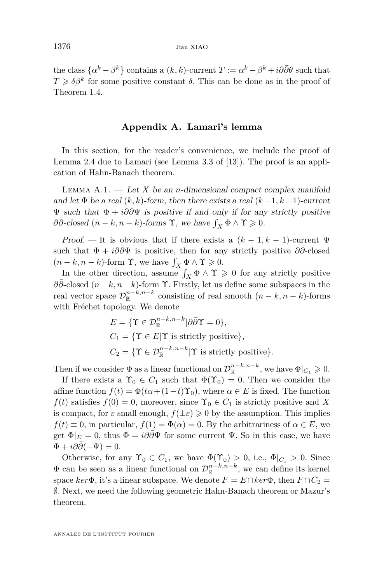the class  $\{\alpha^k - \beta^k\}$  contains a  $(k, k)$ -current  $T := \alpha^k - \beta^k + i\partial\bar{\partial}\theta$  such that  $T \geq \delta \beta^k$  for some positive constant  $\delta$ . This can be done as in the proof of Theorem [1.4.](#page-3-0)

#### **Appendix A. Lamari's lemma**

In this section, for the reader's convenience, we include the proof of Lemma [2.4](#page-6-0) due to Lamari (see Lemma 3.3 of [\[13\]](#page-13-0)). The proof is an application of Hahn-Banach theorem.

LEMMA  $A.1.$  — Let X be an *n*-dimensional compact complex manifold and let  $\Phi$  be a real  $(k, k)$ -form, then there exists a real  $(k-1, k-1)$ -current  $\Psi$  such that  $Φ + i∂∂Ψ$  is positive if and only if for any strictly positive  $\partial \bar{\partial}$ -closed  $(n - k, n - k)$ -forms **Y**, we have  $\int_X \Phi \wedge \Upsilon \geq 0$ .

Proof. — It is obvious that if there exists a  $(k-1, k-1)$ -current  $\Psi$ such that  $\Phi + i\partial\bar{\partial}\Psi$  is positive, then for any strictly positive  $\partial\bar{\partial}$ -closed  $(n - k, n - k)$ -form  $\Upsilon$ , we have  $\int_X \Phi \wedge \Upsilon \geq 0$ .

In the other direction, assume  $\int_X \Phi \wedge \Upsilon \geq 0$  for any strictly positive *∂∂*¯-closed (*n*−*k, n*−*k*)-form Υ. Firstly, let us define some subspaces in the real vector space  $\mathcal{D}_{\mathbb{R}}^{n-k,n-k}$  consisting of real smooth  $(n-k,n-k)$ -forms with Fréchet topology. We denote

$$
E = \{ \Upsilon \in \mathcal{D}_{\mathbb{R}}^{n-k, n-k} | \partial \overline{\partial} \Upsilon = 0 \},
$$
  
\n
$$
C_1 = \{ \Upsilon \in E | \Upsilon \text{ is strictly positive} \},
$$
  
\n
$$
C_2 = \{ \Upsilon \in \mathcal{D}_{\mathbb{R}}^{n-k, n-k} | \Upsilon \text{ is strictly positive} \}.
$$

Then if we consider  $\Phi$  as a linear functional on  $\mathcal{D}_{\mathbb{R}}^{n-k,n-k}$ , we have  $\Phi|_{C_1} \geqslant 0$ .

If there exists a  $\Upsilon_0 \in C_1$  such that  $\Phi(\Upsilon_0) = 0$ . Then we consider the affine function  $f(t) = \Phi(t\alpha + (1-t)\Upsilon_0)$ , where  $\alpha \in E$  is fixed. The function  $f(t)$  satisfies  $f(0) = 0$ , moreover, since  $\Upsilon_0 \in C_1$  is strictly positive and X is compact, for  $\varepsilon$  small enough,  $f(\pm \varepsilon) \geq 0$  by the assumption. This implies  $f(t) \equiv 0$ , in particular,  $f(1) = \Phi(\alpha) = 0$ . By the arbitrariness of  $\alpha \in E$ , we get  $\Phi|_E = 0$ , thus  $\Phi = i\partial\bar{\partial}\Psi$  for some current  $\Psi$ . So in this case, we have  $\Phi + i\partial\partial(-\Psi) = 0.$ 

Otherwise, for any  $\Upsilon_0 \in C_1$ , we have  $\Phi(\Upsilon_0) > 0$ , i.e.,  $\Phi|_{C_1} > 0$ . Since  $\Phi$  can be seen as a linear functional on  $\mathcal{D}_{\mathbb{R}}^{n-k,n-k}$ , we can define its kernel space  $ker \Phi$ , it's a linear subspace. We denote  $F = E \cap ker \Phi$ , then  $F \cap C_2$ ∅. Next, we need the following geometric Hahn-Banach theorem or Mazur's theorem.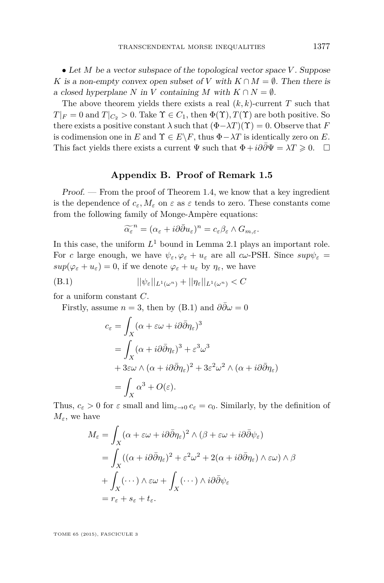<span id="page-11-0"></span>• Let *M* be a vector subspace of the topological vector space *V* . Suppose *K* is a non-empty convex open subset of *V* with  $K \cap M = \emptyset$ . Then there is a closed hyperplane *N* in *V* containing *M* with  $K \cap N = \emptyset$ .

The above theorem yields there exists a real  $(k, k)$ -current  $T$  such that  $T|_F = 0$  and  $T|_{C_2} > 0$ . Take  $\Upsilon \in C_1$ , then  $\Phi(\Upsilon)$ ,  $T(\Upsilon)$  are both positive. So there exists a positive constant  $\lambda$  such that  $(\Phi - \lambda T)(\Upsilon) = 0$ . Observe that *F* is codimension one in *E* and  $\Upsilon \in E \backslash F$ , thus  $\Phi - \lambda T$  is identically zero on *E*. This fact yields there exists a current  $\Psi$  such that  $\Phi + i\partial\bar{\partial}\Psi = \lambda T \geq 0$ .  $\Box$ 

#### **Appendix B. Proof of Remark [1.5](#page-3-0)**

Proof. — From the proof of Theorem [1.4,](#page-3-0) we know that a key ingredient is the dependence of  $c_{\varepsilon}, M_{\varepsilon}$  on  $\varepsilon$  as  $\varepsilon$  tends to zero. These constants come from the following family of Monge-Ampère equations:

$$
\widetilde{\alpha_{\varepsilon}}^n = (\alpha_{\varepsilon} + i\partial \bar{\partial} u_{\varepsilon})^n = c_{\varepsilon} \beta_{\varepsilon} \wedge G_{m,\varepsilon}.
$$

In this case, the uniform  $L^1$  bound in Lemma [2.1](#page-5-0) plays an important role. For *c* large enough, we have  $\psi_{\varepsilon}, \varphi_{\varepsilon} + u_{\varepsilon}$  are all  $c\omega$ -PSH. Since  $sup\psi_{\varepsilon} =$  $sup(\varphi_{\varepsilon} + u_{\varepsilon}) = 0$ , if we denote  $\varphi_{\varepsilon} + u_{\varepsilon}$  by  $\eta_{\varepsilon}$ , we have

$$
||\psi_{\varepsilon}||_{L^{1}(\omega^{n})} + ||\eta_{\varepsilon}||_{L^{1}(\omega^{n})} < C
$$

for a uniform constant *C*.

Firstly, assume  $n = 3$ , then by (B.1) and  $\partial \overline{\partial} \omega = 0$ 

$$
c_{\varepsilon} = \int_{X} (\alpha + \varepsilon \omega + i \partial \bar{\partial} \eta_{\varepsilon})^{3}
$$
  
= 
$$
\int_{X} (\alpha + i \partial \bar{\partial} \eta_{\varepsilon})^{3} + \varepsilon^{3} \omega^{3}
$$
  
+ 
$$
3\varepsilon \omega \wedge (\alpha + i \partial \bar{\partial} \eta_{\varepsilon})^{2} + 3\varepsilon^{2} \omega^{2} \wedge (\alpha + i \partial \bar{\partial} \eta_{\varepsilon})
$$
  
= 
$$
\int_{X} \alpha^{3} + O(\varepsilon).
$$

Thus,  $c_{\varepsilon} > 0$  for  $\varepsilon$  small and  $\lim_{\varepsilon \to 0} c_{\varepsilon} = c_0$ . Similarly, by the definition of  $M_{\varepsilon}$ , we have

$$
M_{\varepsilon} = \int_{X} (\alpha + \varepsilon \omega + i \partial \bar{\partial} \eta_{\varepsilon})^{2} \wedge (\beta + \varepsilon \omega + i \partial \bar{\partial} \psi_{\varepsilon})
$$
  
= 
$$
\int_{X} ((\alpha + i \partial \bar{\partial} \eta_{\varepsilon})^{2} + \varepsilon^{2} \omega^{2} + 2(\alpha + i \partial \bar{\partial} \eta_{\varepsilon}) \wedge \varepsilon \omega) \wedge \beta
$$
  
+ 
$$
\int_{X} (\cdots) \wedge \varepsilon \omega + \int_{X} (\cdots) \wedge i \partial \bar{\partial} \psi_{\varepsilon}
$$
  
= 
$$
r_{\varepsilon} + s_{\varepsilon} + t_{\varepsilon}.
$$

TOME 65 (2015), FASCICULE 3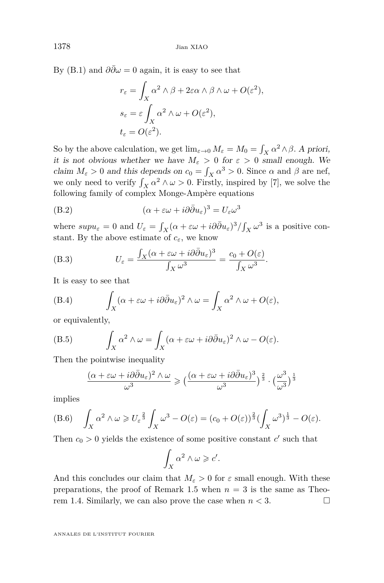By [\(B.1\)](#page-11-0) and  $\partial \bar{\partial} \omega = 0$  again, it is easy to see that

$$
r_{\varepsilon} = \int_X \alpha^2 \wedge \beta + 2\varepsilon \alpha \wedge \beta \wedge \omega + O(\varepsilon^2),
$$
  
\n
$$
s_{\varepsilon} = \varepsilon \int_X \alpha^2 \wedge \omega + O(\varepsilon^2),
$$
  
\n
$$
t_{\varepsilon} = O(\varepsilon^2).
$$

So by the above calculation, we get  $\lim_{\varepsilon \to 0} M_{\varepsilon} = M_0 = \int_X \alpha^2 \wedge \beta$ . A priori, it is not obvious whether we have  $M_{\varepsilon} > 0$  for  $\varepsilon > 0$  small enough. We claim  $M_{\varepsilon} > 0$  and this depends on  $c_0 = \int_X \alpha^3 > 0$ . Since  $\alpha$  and  $\beta$  are nef, we only need to verify  $\int_X \alpha^2 \wedge \omega > 0$ . Firstly, inspired by [\[7\]](#page-13-0), we solve the following family of complex Monge-Ampère equations

(B.2) 
$$
(\alpha + \varepsilon \omega + i\partial \bar{\partial} u_{\varepsilon})^3 = U_{\varepsilon} \omega^3
$$

where  $supu_{\varepsilon} = 0$  and  $U_{\varepsilon} = \int_X (\alpha + \varepsilon \omega + i \partial \bar{\partial} u_{\varepsilon})^3 / \int_X \omega^3$  is a positive constant. By the above estimate of  $c_{\varepsilon}$ , we know

(B.3) 
$$
U_{\varepsilon} = \frac{\int_X (\alpha + \varepsilon \omega + i \partial \bar{\partial} u_{\varepsilon})^3}{\int_X \omega^3} = \frac{c_0 + O(\varepsilon)}{\int_X \omega^3}.
$$

It is easy to see that

(B.4) 
$$
\int_X (\alpha + \varepsilon \omega + i \partial \bar{\partial} u_{\varepsilon})^2 \wedge \omega = \int_X \alpha^2 \wedge \omega + O(\varepsilon),
$$

or equivalently,

(B.5) 
$$
\int_X \alpha^2 \wedge \omega = \int_X (\alpha + \varepsilon \omega + i \partial \bar{\partial} u_{\varepsilon})^2 \wedge \omega - O(\varepsilon).
$$

Then the pointwise inequality

$$
\frac{(\alpha+\varepsilon\omega+i\partial\bar{\partial}u_{\varepsilon})^2\wedge\omega}{\omega^3}\geqslant\big(\frac{(\alpha+\varepsilon\omega+i\partial\bar{\partial}u_{\varepsilon})^3}{\omega^3}\big)^{\frac{2}{3}}\cdot\big(\frac{\omega^3}{\omega^3}\big)^{\frac{1}{3}}
$$

implies

(B.6) 
$$
\int_X \alpha^2 \wedge \omega \geq U_{\varepsilon}^{\frac{2}{3}} \int_X \omega^3 - O(\varepsilon) = (c_0 + O(\varepsilon))^{\frac{2}{3}} \left(\int_X \omega^3\right)^{\frac{1}{3}} - O(\varepsilon).
$$

Then  $c_0 > 0$  yields the existence of some positive constant  $c'$  such that

$$
\int_X \alpha^2 \wedge \omega \geqslant c'.
$$

And this concludes our claim that  $M_{\varepsilon} > 0$  for  $\varepsilon$  small enough. With these preparations, the proof of Remark [1.5](#page-3-0) when  $n = 3$  is the same as Theo-rem [1.4.](#page-3-0) Similarly, we can also prove the case when  $n < 3$ .

ANNALES DE L'INSTITUT FOURIER